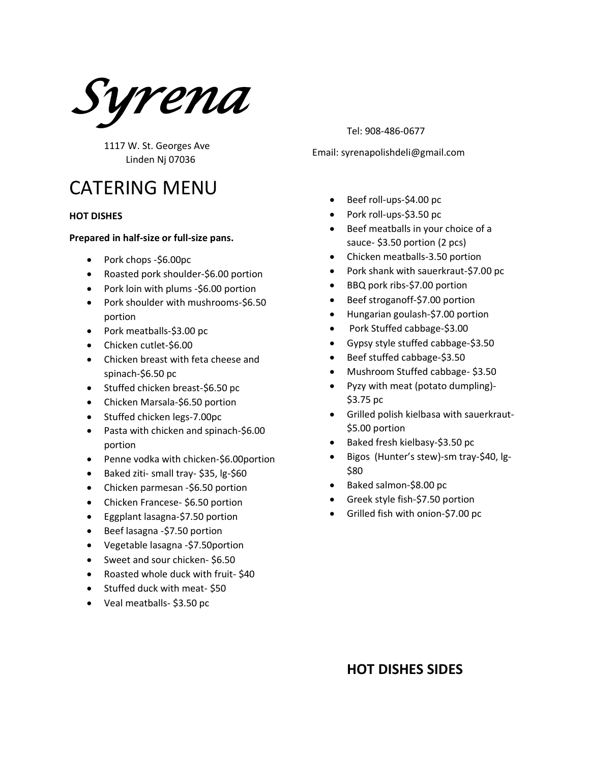*Syrena* 

1117 W. St. Georges Ave Linden Nj 07036

# CATERING MENU

#### **HOT DISHES**

#### **Prepared in half-size or full-size pans.**

- Pork chops -\$6.00pc
- Roasted pork shoulder-\$6.00 portion
- Pork loin with plums -\$6.00 portion
- Pork shoulder with mushrooms-\$6.50 portion
- Pork meatballs-\$3.00 pc
- Chicken cutlet-\$6.00
- Chicken breast with feta cheese and spinach-\$6.50 pc
- Stuffed chicken breast-\$6.50 pc
- Chicken Marsala-\$6.50 portion
- Stuffed chicken legs-7.00pc
- Pasta with chicken and spinach-\$6.00 portion
- Penne vodka with chicken-\$6.00portion
- Baked ziti- small tray- \$35, lg-\$60
- Chicken parmesan -\$6.50 portion
- Chicken Francese- \$6.50 portion
- Eggplant lasagna-\$7.50 portion
- Beef lasagna -\$7.50 portion
- Vegetable lasagna -\$7.50portion
- Sweet and sour chicken-\$6.50
- Roasted whole duck with fruit- \$40
- Stuffed duck with meat- \$50
- Veal meatballs- \$3.50 pc

Tel: 908-486-0677

Email: syrenapolishdeli@gmail.com

- Beef roll-ups-\$4.00 pc
- Pork roll-ups-\$3.50 pc
- Beef meatballs in your choice of a sauce- \$3.50 portion (2 pcs)
- Chicken meatballs-3.50 portion
- Pork shank with sauerkraut-\$7.00 pc
- BBQ pork ribs-\$7.00 portion
- Beef stroganoff-\$7.00 portion
- Hungarian goulash-\$7.00 portion
- Pork Stuffed cabbage-\$3.00
- Gypsy style stuffed cabbage-\$3.50
- Beef stuffed cabbage-\$3.50
- Mushroom Stuffed cabbage- \$3.50
- Pyzy with meat (potato dumpling)- \$3.75 pc
- Grilled polish kielbasa with sauerkraut- \$5.00 portion
- Baked fresh kielbasy-\$3.50 pc
- Bigos (Hunter's stew)-sm tray-\$40, lg- \$80
- Baked salmon-\$8.00 pc
- Greek style fish-\$7.50 portion
- Grilled fish with onion-\$7.00 pc

### **HOT DISHES SIDES**